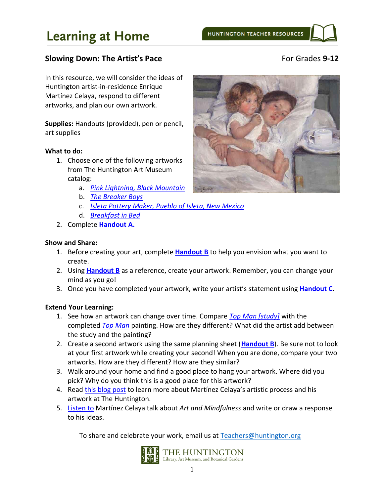# **Learning at Home**

## **Slowing Down: The Artist's Pace** For Grades 9-12

## In this resource, we will consider the ideas of Huntington artist-in-residence Enrique Martínez Celaya, respond to different artworks, and plan our own artwork.

**Supplies:** Handouts (provided), pen or pencil, art supplies

#### **What to do:**

- 1. Choose one of the following artworks from The Huntington Art Museum catalog:
	- a. *[Pink Lightning, Black Mountain](https://huntington.emuseum.com/objects/6192/pink-lightning-black-mountain?ctx=003455b124aa2a3ab0887ad08459c13f7d6363c1&idx=0)*
	- b. *[The Breaker Boys](https://huntington.emuseum.com/objects/53131/the-breaker-boys?ctx=2e8578e2f981e6b3338b4e53937e46b3b77734d2&idx=0)*
	- c. *[Isleta Pottery Maker, Pueblo of Isleta, New Mexico](https://huntington.emuseum.com/objects/294/isleta-pottery-maker-pueblo-of-isleta-new-mexico)*
	- d. *[Breakfast](https://huntington.emuseum.com/objects/5291/breakfast-in-bed?ctx=6601348440ba4e41574c095a7bac74bae5b793a3&idx=10) in Bed*
- 2. Complete **[Handout A.](#page-2-0)**

#### **Show and Share:**

- 1. Before creating your art, complete **[Handout B](#page-3-0)** to help you envision what you want to create.
- 2. Using **[Handout B](#page-3-0)** as a reference, create your artwork. Remember, you can change your mind as you go!
- 3. Once you have completed your artwork, write your artist's statement using **[Handout C](#page-4-0)**.

#### **Extend Your Learning:**

- 1. See how an artwork can change over time. Compare *[Top Man \[study\]](https://huntington.emuseum.com/objects/35759/top-man-study?ctx=e49bd0aefa67bfed5d49521d38de96c9a9dad399&idx=0)* with the completed *[Top Man](https://huntington.emuseum.com/objects/5161/top-man?ctx=7dea201aeb1cfa5a288def67bc7cd9e36f88b459&idx=6)* painting. How are they different? What did the artist add between the study and the painting?
- 2. Create a second artwork using the same planning sheet (**[Handout B](#page-3-0)**). Be sure not to look at your first artwork while creating your second! When you are done, compare your two artworks. How are they different? How are they similar?
- 3. Walk around your home and find a good place to hang your artwork. Where did you pick? Why do you think this is a good place for this artwork?
- 4. Read [this blog post](https://www.huntington.org/verso/2019/02/partnership-enrique-martinez-celaya) to learn more about Martínez Celaya's artistic process and his artwork at The Huntington.
- 5. [Listen to](https://beta.prx.org/stories/176659) Martínez Celaya talk about *Art and Mindfulness* and write or draw a response to his ideas.

To share and celebrate your work, email us at [Teachers@huntington.org](mailto:Teachers@huntington.org)



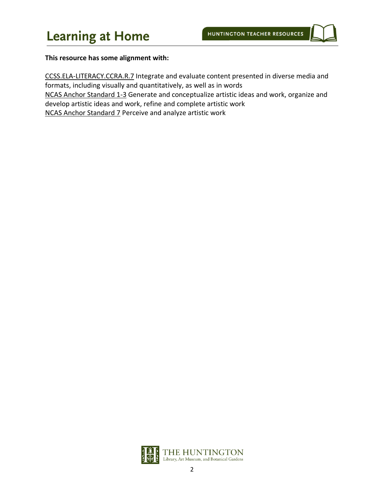#### **This resource has some alignment with:**

CCSS.ELA-LITERACY.CCRA.R.7 Integrate and evaluate content presented in diverse media and formats, including visually and quantitatively, as well as in words NCAS Anchor Standard 1-3 Generate and conceptualize artistic ideas and work, organize and develop artistic ideas and work, refine and complete artistic work NCAS Anchor Standard 7 Perceive and analyze artistic work

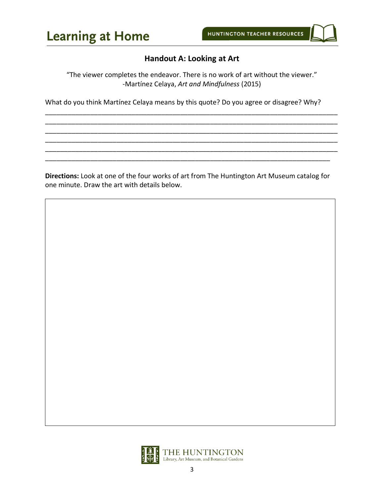# **Handout A: Looking at Art**

<span id="page-2-0"></span>"The viewer completes the endeavor. There is no work of art without the viewer." -Martínez Celaya, *Art and Mindfulness* (2015)

\_\_\_\_\_\_\_\_\_\_\_\_\_\_\_\_\_\_\_\_\_\_\_\_\_\_\_\_\_\_\_\_\_\_\_\_\_\_\_\_\_\_\_\_\_\_\_\_\_\_\_\_\_\_\_\_\_\_\_\_\_\_\_\_\_\_\_\_\_\_\_\_\_\_\_\_\_\_ \_\_\_\_\_\_\_\_\_\_\_\_\_\_\_\_\_\_\_\_\_\_\_\_\_\_\_\_\_\_\_\_\_\_\_\_\_\_\_\_\_\_\_\_\_\_\_\_\_\_\_\_\_\_\_\_\_\_\_\_\_\_\_\_\_\_\_\_\_\_\_\_\_\_\_\_\_\_ \_\_\_\_\_\_\_\_\_\_\_\_\_\_\_\_\_\_\_\_\_\_\_\_\_\_\_\_\_\_\_\_\_\_\_\_\_\_\_\_\_\_\_\_\_\_\_\_\_\_\_\_\_\_\_\_\_\_\_\_\_\_\_\_\_\_\_\_\_\_\_\_\_\_\_\_\_\_ \_\_\_\_\_\_\_\_\_\_\_\_\_\_\_\_\_\_\_\_\_\_\_\_\_\_\_\_\_\_\_\_\_\_\_\_\_\_\_\_\_\_\_\_\_\_\_\_\_\_\_\_\_\_\_\_\_\_\_\_\_\_\_\_\_\_\_\_\_\_\_\_\_\_\_\_\_\_ \_\_\_\_\_\_\_\_\_\_\_\_\_\_\_\_\_\_\_\_\_\_\_\_\_\_\_\_\_\_\_\_\_\_\_\_\_\_\_\_\_\_\_\_\_\_\_\_\_\_\_\_\_\_\_\_\_\_\_\_\_\_\_\_\_\_\_\_\_\_\_\_\_\_\_\_\_\_ \_\_\_\_\_\_\_\_\_\_\_\_\_\_\_\_\_\_\_\_\_\_\_\_\_\_\_\_\_\_\_\_\_\_\_\_\_\_\_\_\_\_\_\_\_\_\_\_\_\_\_\_\_\_\_\_\_\_\_\_\_\_\_\_\_\_\_\_\_\_\_\_\_\_\_\_

What do you think Martínez Celaya means by this quote? Do you agree or disagree? Why?

**Directions:** Look at one of the four works of art from The Huntington Art Museum catalog for one minute. Draw the art with details below.

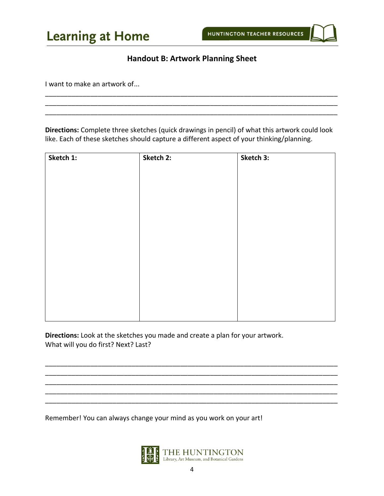## **Handout B: Artwork Planning Sheet**

\_\_\_\_\_\_\_\_\_\_\_\_\_\_\_\_\_\_\_\_\_\_\_\_\_\_\_\_\_\_\_\_\_\_\_\_\_\_\_\_\_\_\_\_\_\_\_\_\_\_\_\_\_\_\_\_\_\_\_\_\_\_\_\_\_\_\_\_\_\_\_\_\_\_\_\_\_\_ \_\_\_\_\_\_\_\_\_\_\_\_\_\_\_\_\_\_\_\_\_\_\_\_\_\_\_\_\_\_\_\_\_\_\_\_\_\_\_\_\_\_\_\_\_\_\_\_\_\_\_\_\_\_\_\_\_\_\_\_\_\_\_\_\_\_\_\_\_\_\_\_\_\_\_\_\_\_ \_\_\_\_\_\_\_\_\_\_\_\_\_\_\_\_\_\_\_\_\_\_\_\_\_\_\_\_\_\_\_\_\_\_\_\_\_\_\_\_\_\_\_\_\_\_\_\_\_\_\_\_\_\_\_\_\_\_\_\_\_\_\_\_\_\_\_\_\_\_\_\_\_\_\_\_\_\_

<span id="page-3-0"></span>I want to make an artwork of...

**Directions:** Complete three sketches (quick drawings in pencil) of what this artwork could look like. Each of these sketches should capture a different aspect of your thinking/planning.

| Sketch 1: | Sketch 2: | Sketch 3: |
|-----------|-----------|-----------|
|           |           |           |
|           |           |           |
|           |           |           |
|           |           |           |
|           |           |           |
|           |           |           |
|           |           |           |
|           |           |           |
|           |           |           |
|           |           |           |
|           |           |           |
|           |           |           |
|           |           |           |
|           |           |           |

**Directions:** Look at the sketches you made and create a plan for your artwork. What will you do first? Next? Last?

Remember! You can always change your mind as you work on your art!



\_\_\_\_\_\_\_\_\_\_\_\_\_\_\_\_\_\_\_\_\_\_\_\_\_\_\_\_\_\_\_\_\_\_\_\_\_\_\_\_\_\_\_\_\_\_\_\_\_\_\_\_\_\_\_\_\_\_\_\_\_\_\_\_\_\_\_\_\_\_\_\_\_\_\_\_\_\_ \_\_\_\_\_\_\_\_\_\_\_\_\_\_\_\_\_\_\_\_\_\_\_\_\_\_\_\_\_\_\_\_\_\_\_\_\_\_\_\_\_\_\_\_\_\_\_\_\_\_\_\_\_\_\_\_\_\_\_\_\_\_\_\_\_\_\_\_\_\_\_\_\_\_\_\_\_\_ \_\_\_\_\_\_\_\_\_\_\_\_\_\_\_\_\_\_\_\_\_\_\_\_\_\_\_\_\_\_\_\_\_\_\_\_\_\_\_\_\_\_\_\_\_\_\_\_\_\_\_\_\_\_\_\_\_\_\_\_\_\_\_\_\_\_\_\_\_\_\_\_\_\_\_\_\_\_ \_\_\_\_\_\_\_\_\_\_\_\_\_\_\_\_\_\_\_\_\_\_\_\_\_\_\_\_\_\_\_\_\_\_\_\_\_\_\_\_\_\_\_\_\_\_\_\_\_\_\_\_\_\_\_\_\_\_\_\_\_\_\_\_\_\_\_\_\_\_\_\_\_\_\_\_\_\_ \_\_\_\_\_\_\_\_\_\_\_\_\_\_\_\_\_\_\_\_\_\_\_\_\_\_\_\_\_\_\_\_\_\_\_\_\_\_\_\_\_\_\_\_\_\_\_\_\_\_\_\_\_\_\_\_\_\_\_\_\_\_\_\_\_\_\_\_\_\_\_\_\_\_\_\_\_\_